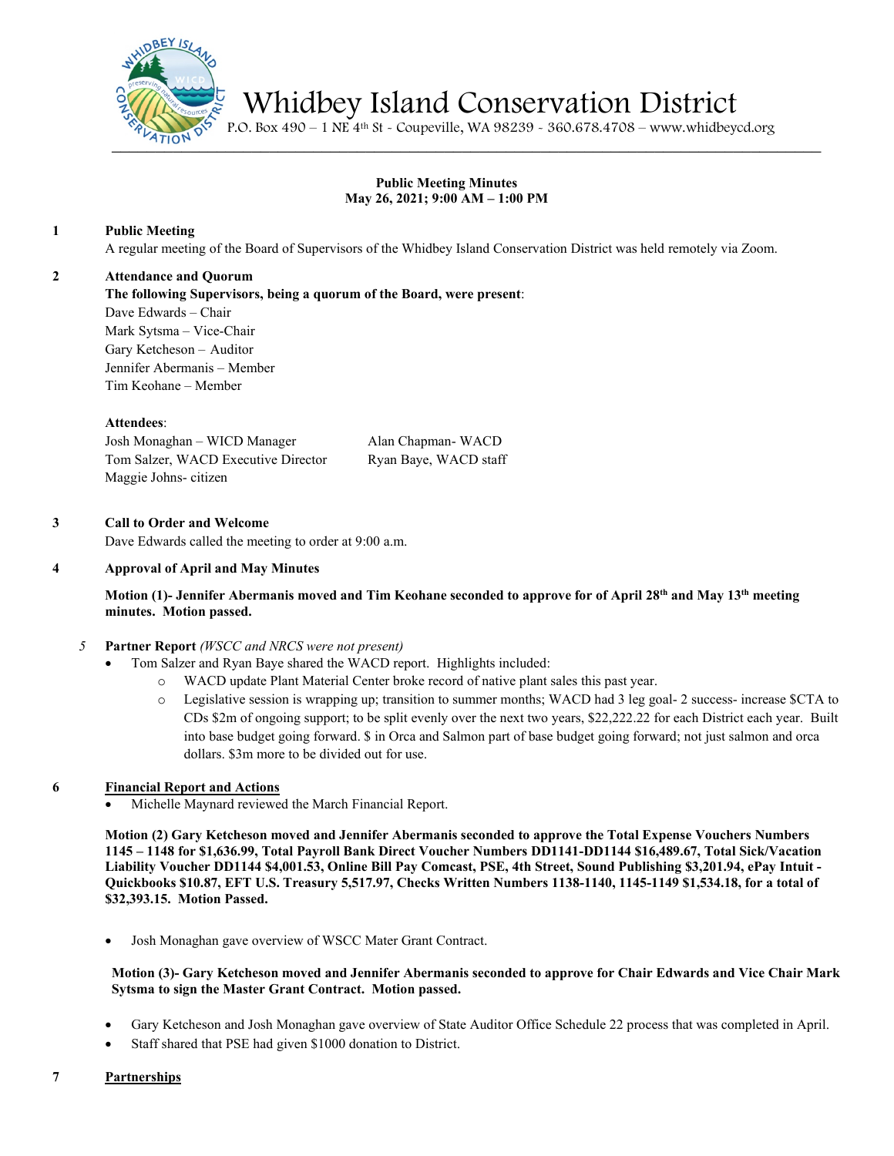

Whidbey Island Conservation District P.O. Box 490 – 1 NE 4th St - Coupeville, WA 98239 - 360.678.4708 – www.whidbeycd.org

# **Public Meeting Minutes May 26, 2021; 9:00 AM – 1:00 PM**

## **1 Public Meeting**

A regular meeting of the Board of Supervisors of the Whidbey Island Conservation District was held remotely via Zoom.

## **2 Attendance and Quorum**

**The following Supervisors, being a quorum of the Board, were present**:

Dave Edwards – Chair Mark Sytsma – Vice-Chair Gary Ketcheson – Auditor Jennifer Abermanis – Member Tim Keohane – Member

## **Attendees**:

Josh Monaghan – WICD Manager Alan Chapman- WACD Tom Salzer, WACD Executive Director Ryan Baye, WACD staff Maggie Johns- citizen

## **3 Call to Order and Welcome**

Dave Edwards called the meeting to order at 9:00 a.m.

## **4 Approval of April and May Minutes**

## **Motion (1)- Jennifer Abermanis moved and Tim Keohane seconded to approve for of April 28th and May 13th meeting minutes. Motion passed.**

## *5* **Partner Report** *(WSCC and NRCS were not present)*

- Tom Salzer and Ryan Baye shared the WACD report. Highlights included:
	- o WACD update Plant Material Center broke record of native plant sales this past year.
	- o Legislative session is wrapping up; transition to summer months; WACD had 3 leg goal- 2 success- increase \$CTA to CDs \$2m of ongoing support; to be split evenly over the next two years, \$22,222.22 for each District each year. Built into base budget going forward. \$ in Orca and Salmon part of base budget going forward; not just salmon and orca dollars. \$3m more to be divided out for use.

# **6 Financial Report and Actions**

• Michelle Maynard reviewed the March Financial Report.

**Motion (2) Gary Ketcheson moved and Jennifer Abermanis seconded to approve the Total Expense Vouchers Numbers 1145 – 1148 for \$1,636.99, Total Payroll Bank Direct Voucher Numbers DD1141-DD1144 \$16,489.67, Total Sick/Vacation Liability Voucher DD1144 \$4,001.53, Online Bill Pay Comcast, PSE, 4th Street, Sound Publishing \$3,201.94, ePay Intuit - Quickbooks \$10.87, EFT U.S. Treasury 5,517.97, Checks Written Numbers 1138-1140, 1145-1149 \$1,534.18, for a total of \$32,393.15. Motion Passed.**

• Josh Monaghan gave overview of WSCC Mater Grant Contract.

## **Motion (3)- Gary Ketcheson moved and Jennifer Abermanis seconded to approve for Chair Edwards and Vice Chair Mark Sytsma to sign the Master Grant Contract. Motion passed.**

- Gary Ketcheson and Josh Monaghan gave overview of State Auditor Office Schedule 22 process that was completed in April.
- Staff shared that PSE had given \$1000 donation to District.
- **7 Partnerships**